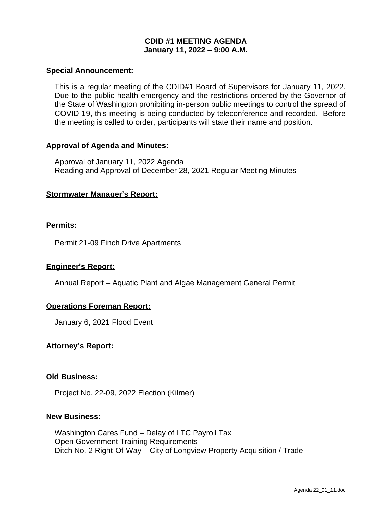## **CDID #1 MEETING AGENDA January 11, 2022 – 9:00 A.M.**

### **Special Announcement:**

This is a regular meeting of the CDID#1 Board of Supervisors for January 11, 2022. Due to the public health emergency and the restrictions ordered by the Governor of the State of Washington prohibiting in-person public meetings to control the spread of COVID-19, this meeting is being conducted by teleconference and recorded. Before the meeting is called to order, participants will state their name and position.

### **Approval of Agenda and Minutes:**

Approval of January 11, 2022 Agenda Reading and Approval of December 28, 2021 Regular Meeting Minutes

### **Stormwater Manager's Report:**

### **Permits:**

Permit 21-09 Finch Drive Apartments

#### **Engineer's Report:**

Annual Report – Aquatic Plant and Algae Management General Permit

## **Operations Foreman Report:**

January 6, 2021 Flood Event

## **Attorney's Report:**

#### **Old Business:**

Project No. 22-09, 2022 Election (Kilmer)

#### **New Business:**

Washington Cares Fund – Delay of LTC Payroll Tax Open Government Training Requirements Ditch No. 2 Right-Of-Way – City of Longview Property Acquisition / Trade